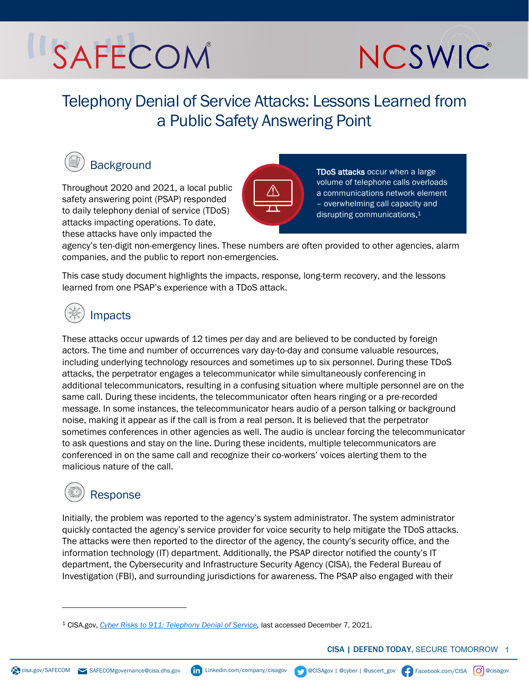# SAFECOM



Telephony Denial of Service Attacks: Lessons Learned from a Public Safety Answering Point



## **Background**

Throughout 2020 and 2021, a local public safety answering point (PSAP) responded to daily telephony denial of service (TDoS) attacks impacting operations. To date, these attacks have only impacted the



TDoS attacks occur when a large volume of telephone calls overloads a communications network element – overwhelming call capacity and disrupting communications. 1

agency's ten-digit non-emergency lines. These numbers are often provided to other agencies, alarm companies, and the public to report non-emergencies.

This case study document highlights the impacts, response, long-term recovery, and the lessons learned from one PSAP's experience with a TDoS attack.



### Impacts

These attacks occur upwards of 12 times per day and are believed to be conducted by foreign actors. The time and number of occurrences vary day-to-day and consume valuable resources, including underlying technology resources and sometimes up to six personnel. During these TDoS attacks, the perpetrator engages a telecommunicator while simultaneously conferencing in additional telecommunicators, resulting in a confusing situation where multiple personnel are on the same call. During these incidents, the telecommunicator often hears ringing or a pre-recorded message. In some instances, the telecommunicator hears audio of a person talking or background noise, making it appear as if the call is from a real person. It is believed that the perpetrator sometimes conferences in other agencies as well. The audio is unclear forcing the telecommunicator to ask questions and stay on the line. During these incidents, multiple telecommunicators are conferenced in on the same call and recognize their co-workers' voices alerting them to the malicious nature of the call.

### Response

Initially, the problem was reported to the agency's system administrator. The system administrator quickly contacted the agency's service provider for voice security to help mitigate the TDoS attacks. The attacks were then reported to the director of the agency, the county's security office, and the information technology (IT) department. Additionally, the PSAP director notified the county's IT department, the Cybersecurity and Infrastructure Security Agency (CISA), the Federal Bureau of Investigation (FBI), and surrounding jurisdictions for awareness. The PSAP also engaged with their

CISA | DEFEND TODAY, SECURE TOMORROW 1

<span id="page-0-0"></span><sup>1</sup> CISA.gov, *[Cyber Risks to 911: Telephony Denial of Service,](https://www.cisa.gov/sites/default/files/publications/Cyber%20Risks%20to%20911%20TDoS_6.4.2020%20-%20%28508c%29_1.pdf)* last accessed December 7, 2021.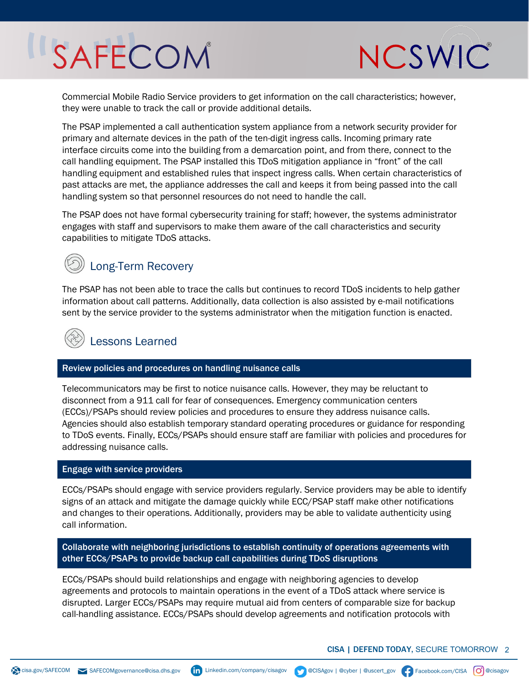## SAFECOM



Commercial Mobile Radio Service providers to get information on the call characteristics; however, they were unable to track the call or provide additional details.

The PSAP implemented a call authentication system appliance from a network security provider for primary and alternate devices in the path of the ten-digit ingress calls. Incoming primary rate interface circuits come into the building from a demarcation point, and from there, connect to the call handling equipment. The PSAP installed this TDoS mitigation appliance in "front" of the call handling equipment and established rules that inspect ingress calls. When certain characteristics of past attacks are met, the appliance addresses the call and keeps it from being passed into the call handling system so that personnel resources do not need to handle the call.

The PSAP does not have formal cybersecurity training for staff; however, the systems administrator engages with staff and supervisors to make them aware of the call characteristics and security capabilities to mitigate TDoS attacks.

### Long-Term Recovery

The PSAP has not been able to trace the calls but continues to record TDoS incidents to help gather information about call patterns. Additionally, data collection is also assisted by e-mail notifications sent by the service provider to the systems administrator when the mitigation function is enacted.

## Lessons Learned

#### Review policies and procedures on handling nuisance calls

Telecommunicators may be first to notice nuisance calls. However, they may be reluctant to disconnect from a 911 call for fear of consequences. Emergency communication centers (ECCs)/PSAPs should review policies and procedures to ensure they address nuisance calls. Agencies should also establish temporary standard operating procedures or guidance for responding to TDoS events. Finally, ECCs/PSAPs should ensure staff are familiar with policies and procedures for addressing nuisance calls.

#### Engage with service providers

ECCs/PSAPs should engage with service providers regularly. Service providers may be able to identify signs of an attack and mitigate the damage quickly while ECC/PSAP staff make other notifications and changes to their operations. Additionally, providers may be able to validate authenticity using call information.

Collaborate with neighboring jurisdictions to establish continuity of operations agreements with other ECCs/PSAPs to provide backup call capabilities during TDoS disruptions

ECCs/PSAPs should build relationships and engage with neighboring agencies to develop agreements and protocols to maintain operations in the event of a TDoS attack where service is disrupted. Larger ECCs/PSAPs may require mutual aid from centers of comparable size for backup call-handling assistance. ECCs/PSAPs should develop agreements and notification protocols with